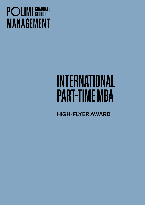## **POLIMI** SCHOOLOF **MANAGEMENT**

# INTERNATIONAL PART-TIME MBA

HIGH-FLYER AWARD